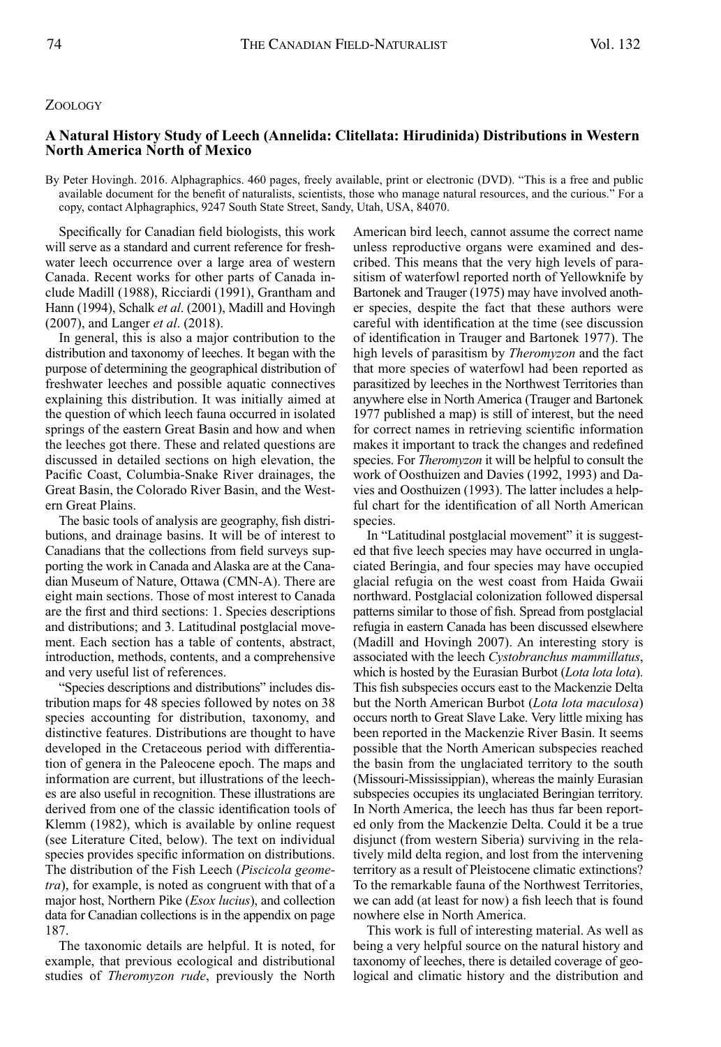## ZooLoGy

## **A Natural History Study of Leech (Annelida: Clitellata: Hirudinida) Distributions in Western North America North of Mexico**

By Peter Hovingh. 2016. Alphagraphics. 460 pages, freely available, print or electronic (DVD). "This is a free and public available document for the benefit of naturalists, scientists, those who manage natural resources, and the curious." For a copy, contact Alphagraphics, 9247 South State Street, Sandy, Utah, USA, 84070.

Specifically for Canadian field biologists, this work will serve as a standard and current reference for freshwater leech occurrence over a large area of western Canada. Recent works for other parts of Canada include Madill (1988), Ricciardi (1991), Grantham and Hann (1994), Schalk *et al*. (2001), Madill and Hovingh (2007), and Langer *et al*. (2018).

In general, this is also a major contribution to the distribution and taxonomy of leeches. It began with the purpose of determining the geographical distribution of freshwater leeches and possible aquatic connectives explaining this distribution. It was initially aimed at the question of which leech fauna occurred in isolated springs of the eastern Great Basin and how and when the leeches got there. These and related questions are discussed in detailed sections on high elevation, the Pacific Coast, Columbia-Snake River drainages, the Great Basin, the Colorado River Basin, and the Western Great Plains.

The basic tools of analysis are geography, fish distributions, and drainage basins. It will be of interest to Canadians that the collections from field surveys supporting the work in Canada and Alaska are at the Canadian Museum of Nature, Ottawa (CMN-A). There are eight main sections. Those of most interest to Canada are the first and third sections: 1. Species descriptions and distributions; and 3. Latitudinal postglacial movement. Each section has a table of contents, abstract, introduction, methods, contents, and a comprehensive and very useful list of references.

"Species descriptions and distributions" includes distribution maps for 48 species followed by notes on 38 species accounting for distribution, taxonomy, and distinctive features. Distributions are thought to have developed in the Cretaceous period with differentiation of genera in the Paleocene epoch. The maps and information are current, but illustrations of the leeches are also useful in recognition. These illustrations are derived from one of the classic identification tools of klemm (1982), which is available by online request (see Literature Cited, below). The text on individual species provides specific information on distributions. The distribution of the Fish Leech (*Piscicola geometra*), for example, is noted as congruent with that of a major host, northern Pike (*Esox lucius*), and collection data for Canadian collections is in the appendix on page 187.

The taxonomic details are helpful. It is noted, for example, that previous ecological and distributional studies of *Theromyzon rude*, previously the North American bird leech, cannot assume the correct name unless reproductive organs were examined and described. This means that the very high levels of parasitism of waterfowl reported north of Yellowknife by Bartonek and Trauger (1975) may have involved another species, despite the fact that these authors were careful with identification at the time (see discussion of identification in Trauger and Bartonek 1977). The high levels of parasitism by *Theromyzon* and the fact that more species of waterfowl had been reported as parasitized by leeches in the Northwest Territories than anywhere else in North America (Trauger and Bartonek 1977 published a map) is still of interest, but the need for correct names in retrieving scientific information makes it important to track the changes and redefined species. For *Theromyzon* it will be helpful to consult the work of Oosthuizen and Davies (1992, 1993) and Davies and Oosthuizen (1993). The latter includes a helpful chart for the identification of all North American species.

In "Latitudinal postglacial movement" it is suggested that five leech species may have occurred in unglaciated Beringia, and four species may have occupied glacial refugia on the west coast from Haida Gwaii northward. Postglacial colonization followed dispersal patterns similar to those of fish. Spread from postglacial refugia in eastern Canada has been discussed elsewhere (Madill and Hovingh 2007). An interesting story is associated with the leech *Cystobranchus mammillatus*, which is hosted by the Eurasian Burbot (*Lota lota lota*). This fish subspecies occurs east to the Mackenzie Delta but the north American Burbot (*Lota lota maculosa*) occurs north to Great Slave Lake. Very little mixing has been reported in the Mackenzie River Basin. It seems possible that the North American subspecies reached the basin from the unglaciated territory to the south (Missouri-Mississippian), whereas the mainly Eurasian subspecies occupies its unglaciated Beringian territory. In North America, the leech has thus far been reported only from the Mackenzie Delta. Could it be a true disjunct (from western Siberia) surviving in the relatively mild delta region, and lost from the intervening territory as a result of Pleistocene climatic extinctions? To the remarkable fauna of the Northwest Territories, we can add (at least for now) a fish leech that is found nowhere else in North America.

This work is full of interesting material. As well as being a very helpful source on the natural history and taxonomy of leeches, there is detailed coverage of geological and climatic history and the distribution and